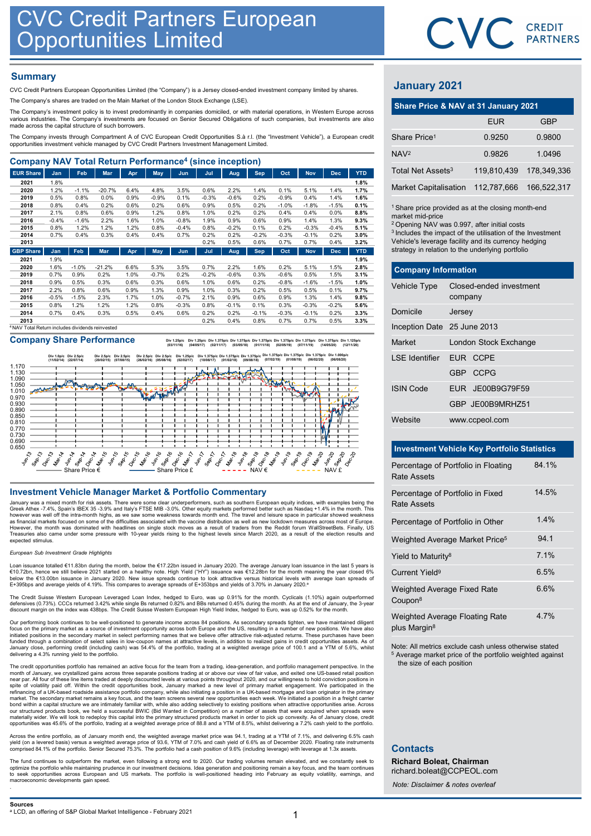## **Summary**

|                                                                                                                                                                                                                                                                                 |                 |                                                | <b>CVC Credit Partners European<br/>Opportunities Limited</b> |              |              |                    |              |                 |              |                 |                 |                 |              |                               | CVC CRI                                                          |              |
|---------------------------------------------------------------------------------------------------------------------------------------------------------------------------------------------------------------------------------------------------------------------------------|-----------------|------------------------------------------------|---------------------------------------------------------------|--------------|--------------|--------------------|--------------|-----------------|--------------|-----------------|-----------------|-----------------|--------------|-------------------------------|------------------------------------------------------------------|--------------|
| <b>Summary</b><br>CVC Credit Partners European Opportunities Limited (the "Company") is a Jersey closed-ended investment company limited by shares.                                                                                                                             |                 |                                                |                                                               |              |              |                    |              |                 |              |                 |                 |                 |              | <b>January 2021</b>           |                                                                  |              |
| The Company's shares are traded on the Main Market of the London Stock Exchange (LSE).                                                                                                                                                                                          |                 |                                                |                                                               |              |              |                    |              |                 |              |                 |                 |                 |              |                               | Share Price & NAV at 31 January 2021                             |              |
| The Company's investment policy is to invest predominantly in companies domiciled, or with material operations, in Western Europe across<br>various industries. The Company's investments are focused on Senior Secured Obligations of such companies, but investments are also |                 |                                                |                                                               |              |              |                    |              |                 |              |                 |                 |                 |              |                               | <b>EUR</b>                                                       |              |
| made across the capital structure of such borrowers.                                                                                                                                                                                                                            |                 |                                                |                                                               |              |              |                    |              |                 |              |                 |                 |                 |              |                               |                                                                  |              |
| The Company invests through Compartment A of CVC European Credit Opportunities S.à r.l. (the "Investment Vehicle"), a European credit<br>opportunities investment vehicle managed by CVC Credit Partners Investment Management Limited.                                         |                 |                                                |                                                               |              |              |                    |              |                 |              |                 |                 |                 |              | Share Price <sup>1</sup>      | 0.9250                                                           | 0            |
|                                                                                                                                                                                                                                                                                 |                 |                                                |                                                               |              |              |                    |              |                 |              |                 |                 |                 |              | NAV <sup>2</sup>              | 0.9826                                                           | $\mathbf{1}$ |
| <b>Company NAV Total Return Performance<sup>4</sup> (since inception)</b>                                                                                                                                                                                                       |                 |                                                |                                                               |              |              |                    |              |                 |              |                 |                 |                 |              |                               |                                                                  |              |
| <b>EUR Share</b>                                                                                                                                                                                                                                                                | Jan             | Feb                                            | Mar                                                           | Apr          | May          | Jun                | Jul          | Aug             | <b>Sep</b>   | Oct             | <b>Nov</b>      | <b>Dec</b>      | <b>YTD</b>   | Total Net Assets <sup>3</sup> | 119,810,439                                                      | 178,         |
| 2021                                                                                                                                                                                                                                                                            | 1.8%            |                                                |                                                               |              |              |                    |              |                 |              |                 |                 |                 | 1.8%         |                               |                                                                  |              |
| 2020                                                                                                                                                                                                                                                                            | 1.2%            | $-1.1%$                                        | $-20.7%$                                                      | 6.4%         | 4.8%         | 3.5%               | 0.6%         | 2.2%            | 1.4%         | 0.1%            | 5.1%            | 1.4%            | 1.7%         | <b>Market Capitalisation</b>  | 112.787.666                                                      | 166.         |
| 2019                                                                                                                                                                                                                                                                            | 0.5%            | 0.8%                                           | 0.0%                                                          | 0.9%         | $-0.9%$      | 0.1%               | $-0.3%$      | $-0.6%$         | 0.2%         | $-0.9%$         | 0.4%            | 1.4%            | 1.6%         |                               |                                                                  |              |
| 2018<br>2017                                                                                                                                                                                                                                                                    | 0.8%<br>2.1%    | 0.4%<br>0.8%                                   | 0.2%<br>0.6%                                                  | 0.6%         | 0.2%<br>1.2% | 0.6%<br>0.8%       | 0.9%<br>1.0% | 0.5%            | 0.2%<br>0.2% | $-1.0%$<br>0.4% | $-1.8%$<br>0.4% | $-1.5%$<br>0.0% | 0.1%         |                               | <sup>1</sup> Share price provided as at the closing month-en     |              |
| 2016                                                                                                                                                                                                                                                                            | $-0.4%$         | $-1.6%$                                        | 2.2%                                                          | 0.9%<br>1.6% | 1.0%         | $-0.8%$            | 1.9%         | 0.2%<br>0.9%    | 0.6%         | 0.9%            | 1.4%            | 1.3%            | 8.8%<br>9.3% | market mid-price              |                                                                  |              |
| 2015                                                                                                                                                                                                                                                                            | 0.8%            | 1.2%                                           | 1.2%                                                          | 1.2%         | 0.8%         | $-0.4%$            | 0.8%         | $-0.2%$         | 0.1%         | 0.2%            | $-0.3%$         | $-0.4%$         | 5.1%         |                               | <sup>2</sup> Opening NAV was 0.997, after initial costs          |              |
| 2014                                                                                                                                                                                                                                                                            | 0.7%            | 0.4%                                           | 0.3%                                                          | 0.4%         | 0.4%         | 0.7%               | 0.2%         | 0.2%            | $-0.2%$      | $-0.3%$         | $-0.1%$         | 0.2%            | 3.0%         |                               | <sup>3</sup> Includes the impact of the utilisation of the Inves |              |
| 2013                                                                                                                                                                                                                                                                            |                 |                                                |                                                               |              |              |                    | 0.2%         | 0.5%            | 0.6%         | 0.7%            | 0.7%            | 0.4%            | 3.2%         |                               | Vehicle's leverage facility and its currency hedgin              |              |
| <b>GBP Share</b>                                                                                                                                                                                                                                                                | Jan             | Feb                                            | Mar                                                           | Apr          | May          | Jun                | Jul          | Aug             | <b>Sep</b>   | Oct             | <b>Nov</b>      | <b>Dec</b>      | <b>YTD</b>   |                               | strategy in relation to the underlying portfolio                 |              |
| 2021                                                                                                                                                                                                                                                                            | 1.9%            |                                                |                                                               |              |              |                    |              |                 |              |                 |                 |                 | 1.9%         |                               |                                                                  |              |
| 2020                                                                                                                                                                                                                                                                            | 1.6%            | $-1.0%$                                        | $-21.2%$                                                      | 6.6%         | 5.3%         | 3.5%               | 0.7%         | 2.2%            | 1.6%         | 0.2%            | 5.1%            | 1.5%            | 2.8%         | <b>Company Information</b>    |                                                                  |              |
| 2019                                                                                                                                                                                                                                                                            | 0.7%            | 0.9%                                           | 0.2%                                                          | 1.0%         | $-0.7%$      | 0.2%               | $-0.2%$      | $-0.6%$         | 0.3%         | $-0.6%$         | 0.5%            | 1.5%            | 3.1%         |                               |                                                                  |              |
| 2018                                                                                                                                                                                                                                                                            | 0.9%            | 0.5%                                           | 0.3%                                                          | 0.6%         | 0.3%         | 0.6%               | 1.0%         | 0.6%            | 0.2%         | $-0.8%$         | $-1.6%$         | $-1.5%$         | 1.0%         | Vehicle Type                  | Closed-ended investment                                          |              |
| 2017                                                                                                                                                                                                                                                                            | 2.2%            | 0.8%                                           | 0.6%                                                          | 0.9%         | 1.3%         | 0.9%               | 1.0%         | 0.3%            | 0.2%         | 0.5%            | 0.5%            | 0.1%            | 9.7%         |                               |                                                                  |              |
| 2016<br>2015                                                                                                                                                                                                                                                                    | $-0.5%$<br>0.8% | $-1.5%$<br>1.2%                                | 2.3%<br>1.2%                                                  | 1.7%<br>1.2% | 1.0%<br>0.8% | $-0.7%$<br>$-0.3%$ | 2.1%<br>0.8% | 0.9%<br>$-0.1%$ | 0.6%<br>0.1% | 0.9%<br>0.3%    | 1.3%<br>$-0.3%$ | 1.4%<br>$-0.2%$ | 9.8%<br>5.6% |                               | company                                                          |              |
| 2014                                                                                                                                                                                                                                                                            | 0.7%            | 0.4%                                           | 0.3%                                                          | 0.5%         | 0.4%         | 0.6%               | 0.2%         | 0.2%            | $-0.1%$      | $-0.3%$         | $-0.1%$         | 0.2%            | 3.3%         | Domicile                      | Jersey                                                           |              |
| 2013                                                                                                                                                                                                                                                                            |                 |                                                |                                                               |              |              |                    | 0.2%         | 0.4%            | 0.8%         | 0.7%            | 0.7%            | 0.5%            | 3.3%         |                               |                                                                  |              |
|                                                                                                                                                                                                                                                                                 |                 | NAV Total Return includes dividends reinvested |                                                               |              |              |                    |              |                 |              |                 |                 |                 |              | Inception Date 25 June 2013   |                                                                  |              |

Company Share Performance **by 1.25pic Div1.375pic Div1.375pic Div1.375pic Div1.375pic Div1.375pic Div1.375pic Div1.375pic Div1.375pic Div1.375pic Div1.375pic Div1.375pic Div1.375pic Div1.1275pic Div1.1275pic** 



January was a mixed month for risk assets. There were some clear underperformers, such as southern European equity indices, with examples being the<br>Greek Athex -7.4%, Spain's IBEX 35 -3.9% and Italy's FTSE MIB -3.0%. Other .<br>However, the month was dominated with headlines on single stock moves as a result of traders from the Reddit forum WallStreetBets. Finally, US<br>Treasuries also came under some pressure with 10-year yields rising to the hi expected stimulus.

### European Sub Investment Grade Highlights

Loan issuance totalled €11.83bn during the month, below the €17.22bn issued in January 2020. The average January loan issuance in the last 5 years is<br>€10.72bn, hence we still believe 2021 started on a healthy note. High Y below the €13.00bn issuance in January 2020. New issue spreads continue to look attractive versus historical levels with average loan spreads of<br>E+395bps and average yields of 4.19%. This compares to average spreads of E+

The Credit Suisse Western European Leveraged Loan Index, hedged to Euro, was up 0.91% for the month. Cyclicals (1.10%) again outperformed<br>defensives (0.73%). CCCs returned 3.42% while single Bs returned 0.82% and BBs retur

Our performing book continues to be well-positioned to generate income across 84 positions. As secondary spreads tighten, we have maintained diligent focus on the primary market as a source of investment opportunity across both Europe and the US, resulting in a number of new positions. We have also<br>initiated positions in the secondary market in select performing names t January close, performing credit (including cash) was 54.4% of the portfolio, trading at a weighted average price of 100.1 and a YTM of 5.6%, whilst delivering a 4.3% running yield to the portfolio.

The credit opportunities portfolio has remained an active focus for the team from a trading, idea-generation, and portfolio management perspective. In the month of January, we crystallized gains across three separate positions trading at or above our view of fair value, and exited one US-based retail position<br>pear par. All four of these line items traded at deeply discounted market. The secondary market remains a key focus, and the team screens several new opportunities each week. We initiated a position in a freight carrier<br>bond within a capital structure we are intimately familiar with, whil opportunities was 45.6% of the portfolio, trading at a weighted average price of 88.8 and a YTM of 8.5%, whilst delivering a 7.2% cash yield to the portfolio.

Across the entire portfolio, as of January month end, the weighted average market price was 94.1, trading at a YTM of 7.1%, and delivering 6.5% cash<br>yield (on a levered basis) versus a weighted average price of 93.6, YTM o

The fund continues to outperform the market, even following a strong end to 2020. Our trading volumes remain elevated, and we constantly seek to optimize the portfolio while maintaining prudence in our investment decisions

# January 2021

|                                                                                                                                                                                                                                                                                                                                   |         |                         | CVC CREDIT  |
|-----------------------------------------------------------------------------------------------------------------------------------------------------------------------------------------------------------------------------------------------------------------------------------------------------------------------------------|---------|-------------------------|-------------|
|                                                                                                                                                                                                                                                                                                                                   |         |                         |             |
|                                                                                                                                                                                                                                                                                                                                   |         |                         |             |
| <b>January 2021</b>                                                                                                                                                                                                                                                                                                               |         |                         |             |
| Share Price & NAV at 31 January 2021                                                                                                                                                                                                                                                                                              |         |                         |             |
|                                                                                                                                                                                                                                                                                                                                   |         | <b>EUR</b>              | <b>GBP</b>  |
| Share Price <sup>1</sup>                                                                                                                                                                                                                                                                                                          |         | 0.9250                  | 0.9800      |
| NAV <sup>2</sup>                                                                                                                                                                                                                                                                                                                  |         | 0.9826                  | 1.0496      |
| Total Net Assets <sup>3</sup>                                                                                                                                                                                                                                                                                                     |         | 119,810,439             | 178,349,336 |
| <b>Market Capitalisation</b>                                                                                                                                                                                                                                                                                                      |         | 112,787,666             | 166,522,317 |
| <sup>1</sup> Share price provided as at the closing month-end<br>market mid-price<br><sup>2</sup> Opening NAV was 0.997, after initial costs<br><sup>3</sup> Includes the impact of the utilisation of the Investment<br>Vehicle's leverage facility and its currency hedging<br>strategy in relation to the underlying portfolio |         |                         |             |
| <b>Company Information</b>                                                                                                                                                                                                                                                                                                        |         |                         |             |
| Vehicle Type                                                                                                                                                                                                                                                                                                                      | company | Closed-ended investment |             |
| Domicile                                                                                                                                                                                                                                                                                                                          | Jersey  |                         |             |
| Inception Date 25 June 2013                                                                                                                                                                                                                                                                                                       |         |                         |             |
|                                                                                                                                                                                                                                                                                                                                   |         |                         |             |

| <b>January 2021</b>                                                                                                                                                                                                                                                                                                               |         |                                                    |             |  |  |
|-----------------------------------------------------------------------------------------------------------------------------------------------------------------------------------------------------------------------------------------------------------------------------------------------------------------------------------|---------|----------------------------------------------------|-------------|--|--|
|                                                                                                                                                                                                                                                                                                                                   |         | Share Price & NAV at 31 January 2021               |             |  |  |
|                                                                                                                                                                                                                                                                                                                                   |         | <b>EUR</b>                                         | <b>GBP</b>  |  |  |
| Share Price <sup>1</sup>                                                                                                                                                                                                                                                                                                          |         | 0.9250                                             | 0.9800      |  |  |
| NAV <sup>2</sup>                                                                                                                                                                                                                                                                                                                  |         | 0.9826                                             | 1.0496      |  |  |
| Total Net Assets <sup>3</sup>                                                                                                                                                                                                                                                                                                     |         | 119,810,439                                        | 178,349,336 |  |  |
| <b>Market Capitalisation</b>                                                                                                                                                                                                                                                                                                      |         | 112,787,666                                        | 166,522,317 |  |  |
| <sup>1</sup> Share price provided as at the closing month-end<br>market mid-price<br><sup>2</sup> Opening NAV was 0.997, after initial costs<br><sup>3</sup> Includes the impact of the utilisation of the Investment<br>Vehicle's leverage facility and its currency hedging<br>strategy in relation to the underlying portfolio |         |                                                    |             |  |  |
| <b>Company Information</b>                                                                                                                                                                                                                                                                                                        |         |                                                    |             |  |  |
| Vehicle Type                                                                                                                                                                                                                                                                                                                      | company | Closed-ended investment                            |             |  |  |
| Domicile                                                                                                                                                                                                                                                                                                                          | Jersey  |                                                    |             |  |  |
| Inception Date 25 June 2013                                                                                                                                                                                                                                                                                                       |         |                                                    |             |  |  |
| Market                                                                                                                                                                                                                                                                                                                            |         | London Stock Exchange                              |             |  |  |
| <b>LSE</b> Identifier                                                                                                                                                                                                                                                                                                             |         | EUR CCPE                                           |             |  |  |
|                                                                                                                                                                                                                                                                                                                                   |         | GBP CCPG                                           |             |  |  |
| <b>ISIN Code</b>                                                                                                                                                                                                                                                                                                                  |         | EUR JE00B9G79F59                                   |             |  |  |
|                                                                                                                                                                                                                                                                                                                                   |         | GBP JE00B9MRHZ51                                   |             |  |  |
| Website                                                                                                                                                                                                                                                                                                                           |         | www.ccpeol.com                                     |             |  |  |
|                                                                                                                                                                                                                                                                                                                                   |         |                                                    |             |  |  |
|                                                                                                                                                                                                                                                                                                                                   |         | <b>Investment Vehicle Key Portfolio Statistics</b> |             |  |  |
| Percentage of Portfolio in Floating<br>Rate Assets                                                                                                                                                                                                                                                                                |         |                                                    | 84.1%       |  |  |

### Investment Vehicle Key Portfolio Statistics

|                                                    | GBP JE00B9MRHZ51                                                                                                              |       |  |  |  |
|----------------------------------------------------|-------------------------------------------------------------------------------------------------------------------------------|-------|--|--|--|
| Website                                            | www.ccpeol.com                                                                                                                |       |  |  |  |
|                                                    | <b>Investment Vehicle Key Portfolio Statistics</b>                                                                            |       |  |  |  |
|                                                    |                                                                                                                               |       |  |  |  |
| <b>Rate Assets</b>                                 | Percentage of Portfolio in Floating                                                                                           | 84.1% |  |  |  |
| <b>Rate Assets</b>                                 | Percentage of Portfolio in Fixed                                                                                              | 14.5% |  |  |  |
|                                                    | Percentage of Portfolio in Other                                                                                              | 1.4%  |  |  |  |
|                                                    | Weighted Average Market Price <sup>5</sup>                                                                                    | 94.1  |  |  |  |
| Yield to Maturity <sup>8</sup>                     |                                                                                                                               | 7.1%  |  |  |  |
| Current Yield <sup>9</sup>                         |                                                                                                                               | 6.5%  |  |  |  |
| Weighted Average Fixed Rate<br>Coupon <sup>8</sup> |                                                                                                                               | 6.6%  |  |  |  |
| plus Margin <sup>8</sup>                           | Weighted Average Floating Rate                                                                                                | 4.7%  |  |  |  |
| the size of each position                          | Note: All metrics exclude cash unless otherwise stated<br><sup>5</sup> Average market price of the portfolio weighted against |       |  |  |  |

### **Contacts**

Richard Boleat, Chairman richard.boleat@CCPEOL.com

Note: Disclaimer & notes overleaf